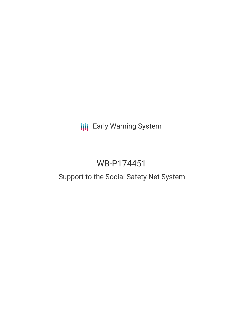# **III** Early Warning System

# WB-P174451

## Support to the Social Safety Net System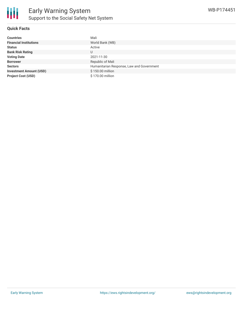

### **Quick Facts**

| <b>Countries</b>               | Mali                                      |
|--------------------------------|-------------------------------------------|
| <b>Financial Institutions</b>  | World Bank (WB)                           |
| <b>Status</b>                  | Active                                    |
| <b>Bank Risk Rating</b>        | U                                         |
| <b>Voting Date</b>             | 2021-11-30                                |
| <b>Borrower</b>                | Republic of Mali                          |
| <b>Sectors</b>                 | Humanitarian Response, Law and Government |
| <b>Investment Amount (USD)</b> | \$150.00 million                          |
| <b>Project Cost (USD)</b>      | \$170.00 million                          |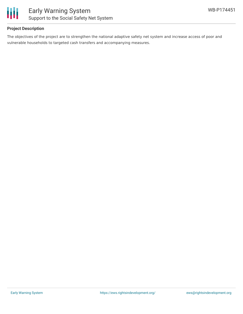

## **Project Description**

The objectives of the project are to strengthen the national adaptive safety net system and increase access of poor and vulnerable households to targeted cash transfers and accompanying measures.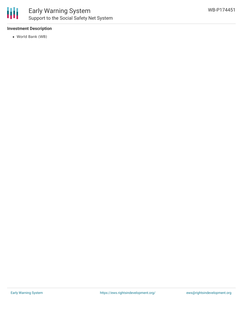

## Early Warning System Support to the Social Safety Net System

## **Investment Description**

World Bank (WB)